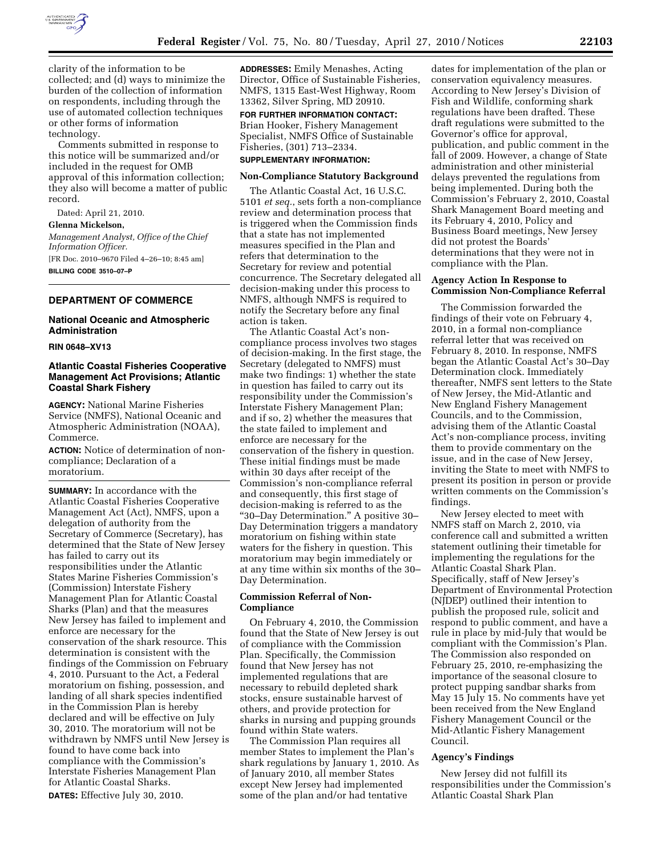

clarity of the information to be collected; and (d) ways to minimize the burden of the collection of information on respondents, including through the use of automated collection techniques or other forms of information technology.

Comments submitted in response to this notice will be summarized and/or included in the request for OMB approval of this information collection; they also will become a matter of public record.

Dated: April 21, 2010.

**Glenna Mickelson,** 

*Management Analyst, Office of the Chief Information Officer.* 

[FR Doc. 2010–9670 Filed 4–26–10; 8:45 am] **BILLING CODE 3510–07–P** 

# **DEPARTMENT OF COMMERCE**

# **National Oceanic and Atmospheric Administration**

### **RIN 0648–XV13**

# **Atlantic Coastal Fisheries Cooperative Management Act Provisions; Atlantic Coastal Shark Fishery**

**AGENCY:** National Marine Fisheries Service (NMFS), National Oceanic and Atmospheric Administration (NOAA), Commerce.

**ACTION:** Notice of determination of noncompliance; Declaration of a moratorium.

**SUMMARY:** In accordance with the Atlantic Coastal Fisheries Cooperative Management Act (Act), NMFS, upon a delegation of authority from the Secretary of Commerce (Secretary), has determined that the State of New Jersey has failed to carry out its responsibilities under the Atlantic States Marine Fisheries Commission's (Commission) Interstate Fishery Management Plan for Atlantic Coastal Sharks (Plan) and that the measures New Jersey has failed to implement and enforce are necessary for the conservation of the shark resource. This determination is consistent with the findings of the Commission on February 4, 2010. Pursuant to the Act, a Federal moratorium on fishing, possession, and landing of all shark species indentified in the Commission Plan is hereby declared and will be effective on July 30, 2010. The moratorium will not be withdrawn by NMFS until New Jersey is found to have come back into compliance with the Commission's Interstate Fisheries Management Plan for Atlantic Coastal Sharks. **DATES:** Effective July 30, 2010.

**ADDRESSES:** Emily Menashes, Acting Director, Office of Sustainable Fisheries, NMFS, 1315 East-West Highway, Room 13362, Silver Spring, MD 20910.

**FOR FURTHER INFORMATION CONTACT:**  Brian Hooker, Fishery Management Specialist, NMFS Office of Sustainable Fisheries, (301) 713–2334.

## **SUPPLEMENTARY INFORMATION:**

### **Non-Compliance Statutory Background**

The Atlantic Coastal Act, 16 U.S.C. 5101 *et seq.*, sets forth a non-compliance review and determination process that is triggered when the Commission finds that a state has not implemented measures specified in the Plan and refers that determination to the Secretary for review and potential concurrence. The Secretary delegated all decision-making under this process to NMFS, although NMFS is required to notify the Secretary before any final action is taken.

The Atlantic Coastal Act's noncompliance process involves two stages of decision-making. In the first stage, the Secretary (delegated to NMFS) must make two findings: 1) whether the state in question has failed to carry out its responsibility under the Commission's Interstate Fishery Management Plan; and if so, 2) whether the measures that the state failed to implement and enforce are necessary for the conservation of the fishery in question. These initial findings must be made within 30 days after receipt of the Commission's non-compliance referral and consequently, this first stage of decision-making is referred to as the ''30–Day Determination.'' A positive 30– Day Determination triggers a mandatory moratorium on fishing within state waters for the fishery in question. This moratorium may begin immediately or at any time within six months of the 30– Day Determination.

# **Commission Referral of Non-Compliance**

On February 4, 2010, the Commission found that the State of New Jersey is out of compliance with the Commission Plan. Specifically, the Commission found that New Jersey has not implemented regulations that are necessary to rebuild depleted shark stocks, ensure sustainable harvest of others, and provide protection for sharks in nursing and pupping grounds found within State waters.

The Commission Plan requires all member States to implement the Plan's shark regulations by January 1, 2010. As of January 2010, all member States except New Jersey had implemented some of the plan and/or had tentative

dates for implementation of the plan or conservation equivalency measures. According to New Jersey's Division of Fish and Wildlife, conforming shark regulations have been drafted. These draft regulations were submitted to the Governor's office for approval, publication, and public comment in the fall of 2009. However, a change of State administration and other ministerial delays prevented the regulations from being implemented. During both the Commission's February 2, 2010, Coastal Shark Management Board meeting and its February 4, 2010, Policy and Business Board meetings, New Jersey did not protest the Boards' determinations that they were not in compliance with the Plan.

# **Agency Action In Response to Commission Non-Compliance Referral**

The Commission forwarded the findings of their vote on February 4, 2010, in a formal non-compliance referral letter that was received on February 8, 2010. In response, NMFS began the Atlantic Coastal Act's 30–Day Determination clock. Immediately thereafter, NMFS sent letters to the State of New Jersey, the Mid-Atlantic and New England Fishery Management Councils, and to the Commission, advising them of the Atlantic Coastal Act's non-compliance process, inviting them to provide commentary on the issue, and in the case of New Jersey, inviting the State to meet with NMFS to present its position in person or provide written comments on the Commission's findings.

New Jersey elected to meet with NMFS staff on March 2, 2010, via conference call and submitted a written statement outlining their timetable for implementing the regulations for the Atlantic Coastal Shark Plan. Specifically, staff of New Jersey's Department of Environmental Protection (NJDEP) outlined their intention to publish the proposed rule, solicit and respond to public comment, and have a rule in place by mid-July that would be compliant with the Commission's Plan. The Commission also responded on February 25, 2010, re-emphasizing the importance of the seasonal closure to protect pupping sandbar sharks from May 15 July 15. No comments have yet been received from the New England Fishery Management Council or the Mid-Atlantic Fishery Management Council.

#### **Agency's Findings**

New Jersey did not fulfill its responsibilities under the Commission's Atlantic Coastal Shark Plan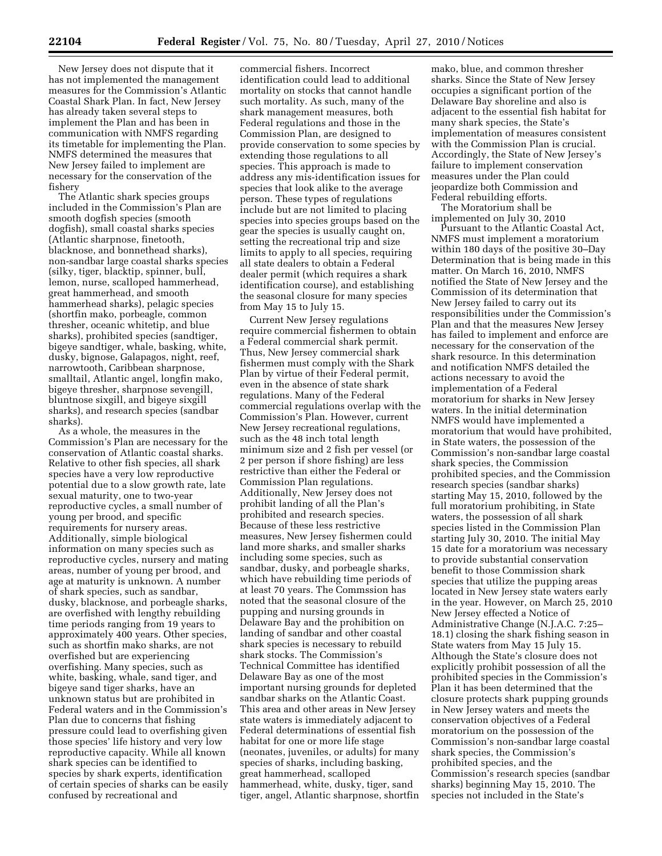New Jersey does not dispute that it has not implemented the management measures for the Commission's Atlantic Coastal Shark Plan. In fact, New Jersey has already taken several steps to implement the Plan and has been in communication with NMFS regarding its timetable for implementing the Plan. NMFS determined the measures that New Jersey failed to implement are necessary for the conservation of the fishery

The Atlantic shark species groups included in the Commission's Plan are smooth dogfish species (smooth dogfish), small coastal sharks species (Atlantic sharpnose, finetooth, blacknose, and bonnethead sharks), non-sandbar large coastal sharks species (silky, tiger, blacktip, spinner, bull, lemon, nurse, scalloped hammerhead, great hammerhead, and smooth hammerhead sharks), pelagic species (shortfin mako, porbeagle, common thresher, oceanic whitetip, and blue sharks), prohibited species (sandtiger, bigeye sandtiger, whale, basking, white, dusky, bignose, Galapagos, night, reef, narrowtooth, Caribbean sharpnose, smalltail, Atlantic angel, longfin mako, bigeye thresher, sharpnose sevengill, bluntnose sixgill, and bigeye sixgill sharks), and research species (sandbar sharks).

As a whole, the measures in the Commission's Plan are necessary for the conservation of Atlantic coastal sharks. Relative to other fish species, all shark species have a very low reproductive potential due to a slow growth rate, late sexual maturity, one to two-year reproductive cycles, a small number of young per brood, and specific requirements for nursery areas. Additionally, simple biological information on many species such as reproductive cycles, nursery and mating areas, number of young per brood, and age at maturity is unknown. A number of shark species, such as sandbar, dusky, blacknose, and porbeagle sharks, are overfished with lengthy rebuilding time periods ranging from 19 years to approximately 400 years. Other species, such as shortfin mako sharks, are not overfished but are experiencing overfishing. Many species, such as white, basking, whale, sand tiger, and bigeye sand tiger sharks, have an unknown status but are prohibited in Federal waters and in the Commission's Plan due to concerns that fishing pressure could lead to overfishing given those species' life history and very low reproductive capacity. While all known shark species can be identified to species by shark experts, identification of certain species of sharks can be easily confused by recreational and

commercial fishers. Incorrect identification could lead to additional mortality on stocks that cannot handle such mortality. As such, many of the shark management measures, both Federal regulations and those in the Commission Plan, are designed to provide conservation to some species by extending those regulations to all species. This approach is made to address any mis-identification issues for species that look alike to the average person. These types of regulations include but are not limited to placing species into species groups based on the gear the species is usually caught on, setting the recreational trip and size limits to apply to all species, requiring all state dealers to obtain a Federal dealer permit (which requires a shark identification course), and establishing the seasonal closure for many species from May 15 to July 15.

Current New Jersey regulations require commercial fishermen to obtain a Federal commercial shark permit. Thus, New Jersey commercial shark fishermen must comply with the Shark Plan by virtue of their Federal permit, even in the absence of state shark regulations. Many of the Federal commercial regulations overlap with the Commission's Plan. However, current New Jersey recreational regulations, such as the 48 inch total length minimum size and 2 fish per vessel (or 2 per person if shore fishing) are less restrictive than either the Federal or Commission Plan regulations. Additionally, New Jersey does not prohibit landing of all the Plan's prohibited and research species. Because of these less restrictive measures, New Jersey fishermen could land more sharks, and smaller sharks including some species, such as sandbar, dusky, and porbeagle sharks, which have rebuilding time periods of at least 70 years. The Commssion has noted that the seasonal closure of the pupping and nursing grounds in Delaware Bay and the prohibition on landing of sandbar and other coastal shark species is necessary to rebuild shark stocks. The Commission's Technical Committee has identified Delaware Bay as one of the most important nursing grounds for depleted sandbar sharks on the Atlantic Coast. This area and other areas in New Jersey state waters is immediately adjacent to Federal determinations of essential fish habitat for one or more life stage (neonates, juveniles, or adults) for many species of sharks, including basking, great hammerhead, scalloped hammerhead, white, dusky, tiger, sand tiger, angel, Atlantic sharpnose, shortfin

mako, blue, and common thresher sharks. Since the State of New Jersey occupies a significant portion of the Delaware Bay shoreline and also is adjacent to the essential fish habitat for many shark species, the State's implementation of measures consistent with the Commission Plan is crucial. Accordingly, the State of New Jersey's failure to implement conservation measures under the Plan could jeopardize both Commission and Federal rebuilding efforts. The Moratorium shall be

implemented on July 30, 2010 Pursuant to the Atlantic Coastal Act, NMFS must implement a moratorium within 180 days of the positive 30–Day Determination that is being made in this matter. On March 16, 2010, NMFS notified the State of New Jersey and the Commission of its determination that New Jersey failed to carry out its responsibilities under the Commission's Plan and that the measures New Jersey has failed to implement and enforce are necessary for the conservation of the shark resource. In this determination and notification NMFS detailed the actions necessary to avoid the implementation of a Federal moratorium for sharks in New Jersey waters. In the initial determination NMFS would have implemented a moratorium that would have prohibited, in State waters, the possession of the Commission's non-sandbar large coastal shark species, the Commission prohibited species, and the Commission research species (sandbar sharks) starting May 15, 2010, followed by the full moratorium prohibiting, in State waters, the possession of all shark species listed in the Commission Plan starting July 30, 2010. The initial May 15 date for a moratorium was necessary to provide substantial conservation benefit to those Commission shark species that utilize the pupping areas located in New Jersey state waters early in the year. However, on March 25, 2010 New Jersey effected a Notice of Administrative Change (N.J.A.C. 7:25– 18.1) closing the shark fishing season in State waters from May 15 July 15. Although the State's closure does not explicitly prohibit possession of all the prohibited species in the Commission's Plan it has been determined that the closure protects shark pupping grounds in New Jersey waters and meets the conservation objectives of a Federal moratorium on the possession of the Commission's non-sandbar large coastal shark species, the Commission's prohibited species, and the Commission's research species (sandbar sharks) beginning May 15, 2010. The species not included in the State's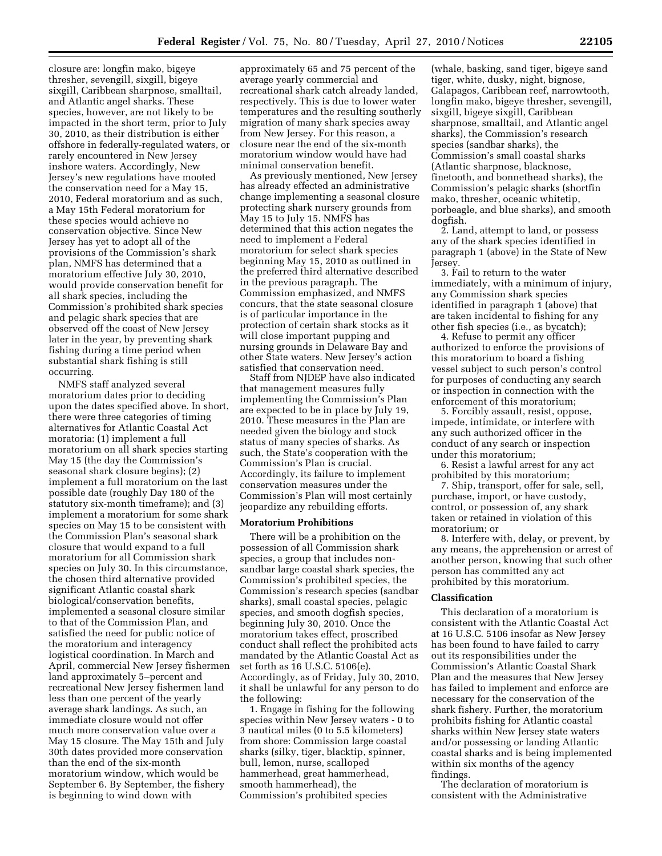closure are: longfin mako, bigeye thresher, sevengill, sixgill, bigeye sixgill, Caribbean sharpnose, smalltail, and Atlantic angel sharks. These species, however, are not likely to be impacted in the short term, prior to July 30, 2010, as their distribution is either offshore in federally-regulated waters, or rarely encountered in New Jersey inshore waters. Accordingly, New Jersey's new regulations have mooted the conservation need for a May 15, 2010, Federal moratorium and as such, a May 15th Federal moratorium for these species would achieve no conservation objective. Since New Jersey has yet to adopt all of the provisions of the Commission's shark plan, NMFS has determined that a moratorium effective July 30, 2010, would provide conservation benefit for all shark species, including the Commission's prohibited shark species and pelagic shark species that are observed off the coast of New Jersey later in the year, by preventing shark fishing during a time period when substantial shark fishing is still occurring.

NMFS staff analyzed several moratorium dates prior to deciding upon the dates specified above. In short, there were three categories of timing alternatives for Atlantic Coastal Act moratoria: (1) implement a full moratorium on all shark species starting May 15 (the day the Commission's seasonal shark closure begins); (2) implement a full moratorium on the last possible date (roughly Day 180 of the statutory six-month timeframe); and (3) implement a moratorium for some shark species on May 15 to be consistent with the Commission Plan's seasonal shark closure that would expand to a full moratorium for all Commission shark species on July 30. In this circumstance, the chosen third alternative provided significant Atlantic coastal shark biological/conservation benefits, implemented a seasonal closure similar to that of the Commission Plan, and satisfied the need for public notice of the moratorium and interagency logistical coordination. In March and April, commercial New Jersey fishermen land approximately 5–percent and recreational New Jersey fishermen land less than one percent of the yearly average shark landings. As such, an immediate closure would not offer much more conservation value over a May 15 closure. The May 15th and July 30th dates provided more conservation than the end of the six-month moratorium window, which would be September 6. By September, the fishery is beginning to wind down with

approximately 65 and 75 percent of the average yearly commercial and recreational shark catch already landed, respectively. This is due to lower water temperatures and the resulting southerly migration of many shark species away from New Jersey. For this reason, a closure near the end of the six-month moratorium window would have had minimal conservation benefit.

As previously mentioned, New Jersey has already effected an administrative change implementing a seasonal closure protecting shark nursery grounds from May 15 to July 15. NMFS has determined that this action negates the need to implement a Federal moratorium for select shark species beginning May 15, 2010 as outlined in the preferred third alternative described in the previous paragraph. The Commission emphasized, and NMFS concurs, that the state seasonal closure is of particular importance in the protection of certain shark stocks as it will close important pupping and nursing grounds in Delaware Bay and other State waters. New Jersey's action satisfied that conservation need.

Staff from NJDEP have also indicated that management measures fully implementing the Commission's Plan are expected to be in place by July 19, 2010. These measures in the Plan are needed given the biology and stock status of many species of sharks. As such, the State's cooperation with the Commission's Plan is crucial. Accordingly, its failure to implement conservation measures under the Commission's Plan will most certainly jeopardize any rebuilding efforts.

### **Moratorium Prohibitions**

There will be a prohibition on the possession of all Commission shark species, a group that includes nonsandbar large coastal shark species, the Commission's prohibited species, the Commission's research species (sandbar sharks), small coastal species, pelagic species, and smooth dogfish species, beginning July 30, 2010. Once the moratorium takes effect, proscribed conduct shall reflect the prohibited acts mandated by the Atlantic Coastal Act as set forth as 16 U.S.C. 5106(e). Accordingly, as of Friday, July 30, 2010, it shall be unlawful for any person to do the following:

1. Engage in fishing for the following species within New Jersey waters - 0 to 3 nautical miles (0 to 5.5 kilometers) from shore: Commission large coastal sharks (silky, tiger, blacktip, spinner, bull, lemon, nurse, scalloped hammerhead, great hammerhead, smooth hammerhead), the Commission's prohibited species

(whale, basking, sand tiger, bigeye sand tiger, white, dusky, night, bignose, Galapagos, Caribbean reef, narrowtooth, longfin mako, bigeye thresher, sevengill, sixgill, bigeye sixgill, Caribbean sharpnose, smalltail, and Atlantic angel sharks), the Commission's research species (sandbar sharks), the Commission's small coastal sharks (Atlantic sharpnose, blacknose, finetooth, and bonnethead sharks), the Commission's pelagic sharks (shortfin mako, thresher, oceanic whitetip, porbeagle, and blue sharks), and smooth dogfish.

2. Land, attempt to land, or possess any of the shark species identified in paragraph 1 (above) in the State of New Jersey.

3. Fail to return to the water immediately, with a minimum of injury, any Commission shark species identified in paragraph 1 (above) that are taken incidental to fishing for any other fish species (i.e., as bycatch);

4. Refuse to permit any officer authorized to enforce the provisions of this moratorium to board a fishing vessel subject to such person's control for purposes of conducting any search or inspection in connection with the enforcement of this moratorium;

5. Forcibly assault, resist, oppose, impede, intimidate, or interfere with any such authorized officer in the conduct of any search or inspection under this moratorium;

6. Resist a lawful arrest for any act prohibited by this moratorium;

7. Ship, transport, offer for sale, sell, purchase, import, or have custody, control, or possession of, any shark taken or retained in violation of this moratorium; or

8. Interfere with, delay, or prevent, by any means, the apprehension or arrest of another person, knowing that such other person has committed any act prohibited by this moratorium.

### **Classification**

This declaration of a moratorium is consistent with the Atlantic Coastal Act at 16 U.S.C. 5106 insofar as New Jersey has been found to have failed to carry out its responsibilities under the Commission's Atlantic Coastal Shark Plan and the measures that New Jersey has failed to implement and enforce are necessary for the conservation of the shark fishery. Further, the moratorium prohibits fishing for Atlantic coastal sharks within New Jersey state waters and/or possessing or landing Atlantic coastal sharks and is being implemented within six months of the agency findings.

The declaration of moratorium is consistent with the Administrative